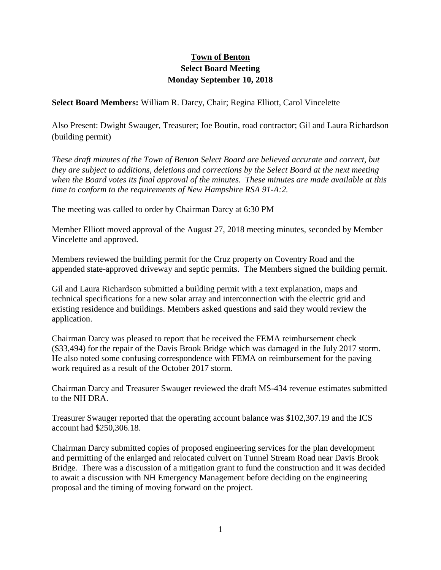## **Town of Benton Select Board Meeting Monday September 10, 2018**

**Select Board Members:** William R. Darcy, Chair; Regina Elliott, Carol Vincelette

Also Present: Dwight Swauger, Treasurer; Joe Boutin, road contractor; Gil and Laura Richardson (building permit)

*These draft minutes of the Town of Benton Select Board are believed accurate and correct, but they are subject to additions, deletions and corrections by the Select Board at the next meeting when the Board votes its final approval of the minutes. These minutes are made available at this time to conform to the requirements of New Hampshire RSA 91-A:2.*

The meeting was called to order by Chairman Darcy at 6:30 PM

Member Elliott moved approval of the August 27, 2018 meeting minutes, seconded by Member Vincelette and approved.

Members reviewed the building permit for the Cruz property on Coventry Road and the appended state-approved driveway and septic permits. The Members signed the building permit.

Gil and Laura Richardson submitted a building permit with a text explanation, maps and technical specifications for a new solar array and interconnection with the electric grid and existing residence and buildings. Members asked questions and said they would review the application.

Chairman Darcy was pleased to report that he received the FEMA reimbursement check (\$33,494) for the repair of the Davis Brook Bridge which was damaged in the July 2017 storm. He also noted some confusing correspondence with FEMA on reimbursement for the paving work required as a result of the October 2017 storm.

Chairman Darcy and Treasurer Swauger reviewed the draft MS-434 revenue estimates submitted to the NH DRA.

Treasurer Swauger reported that the operating account balance was \$102,307.19 and the ICS account had \$250,306.18.

Chairman Darcy submitted copies of proposed engineering services for the plan development and permitting of the enlarged and relocated culvert on Tunnel Stream Road near Davis Brook Bridge. There was a discussion of a mitigation grant to fund the construction and it was decided to await a discussion with NH Emergency Management before deciding on the engineering proposal and the timing of moving forward on the project.